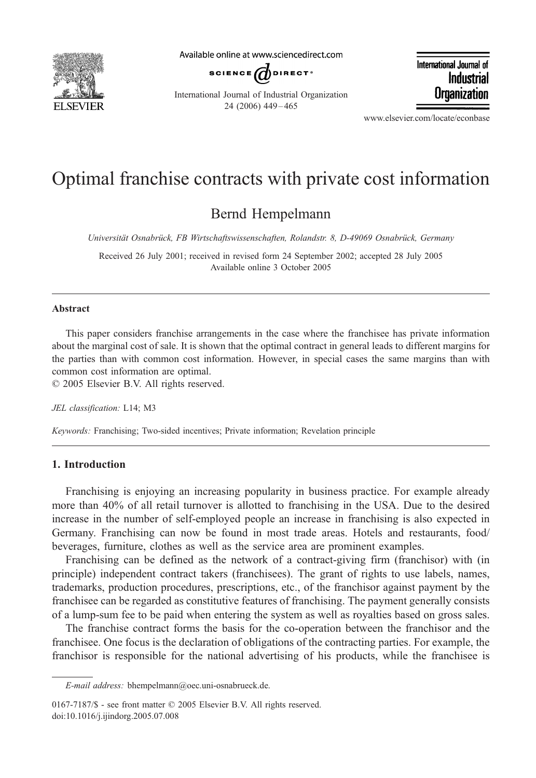

Available online at www.sciencedirect.com



International Journal of Industrial Organization 24 (2006) 449 – 465

International Journal of **Industrial Organization** 

www.elsevier.com/locate/econbase

## Optimal franchise contracts with private cost information

### Bernd Hempelmann

Universität Osnabrück, FB Wirtschaftswissenschaften, Rolandstr. 8, D-49069 Osnabrück, Germany

Received 26 July 2001; received in revised form 24 September 2002; accepted 28 July 2005 Available online 3 October 2005

#### Abstract

This paper considers franchise arrangements in the case where the franchisee has private information about the marginal cost of sale. It is shown that the optimal contract in general leads to different margins for the parties than with common cost information. However, in special cases the same margins than with common cost information are optimal.

 $© 2005 Elsevier B.V. All rights reserved.$ 

JEL classification: L14; M3

Keywords: Franchising; Two-sided incentives; Private information; Revelation principle

#### 1. Introduction

Franchising is enjoying an increasing popularity in business practice. For example already more than 40% of all retail turnover is allotted to franchising in the USA. Due to the desired increase in the number of self-employed people an increase in franchising is also expected in Germany. Franchising can now be found in most trade areas. Hotels and restaurants, food/ beverages, furniture, clothes as well as the service area are prominent examples.

Franchising can be defined as the network of a contract-giving firm (franchisor) with (in principle) independent contract takers (franchisees). The grant of rights to use labels, names, trademarks, production procedures, prescriptions, etc., of the franchisor against payment by the franchisee can be regarded as constitutive features of franchising. The payment generally consists of a lump-sum fee to be paid when entering the system as well as royalties based on gross sales.

The franchise contract forms the basis for the co-operation between the franchisor and the franchisee. One focus is the declaration of obligations of the contracting parties. For example, the franchisor is responsible for the national advertising of his products, while the franchisee is

0167-7187/\$ - see front matter  $\odot$  2005 Elsevier B.V. All rights reserved. doi:10.1016/j.ijindorg.2005.07.008

E-mail address: bhempelmann@oec.uni-osnabrueck.de.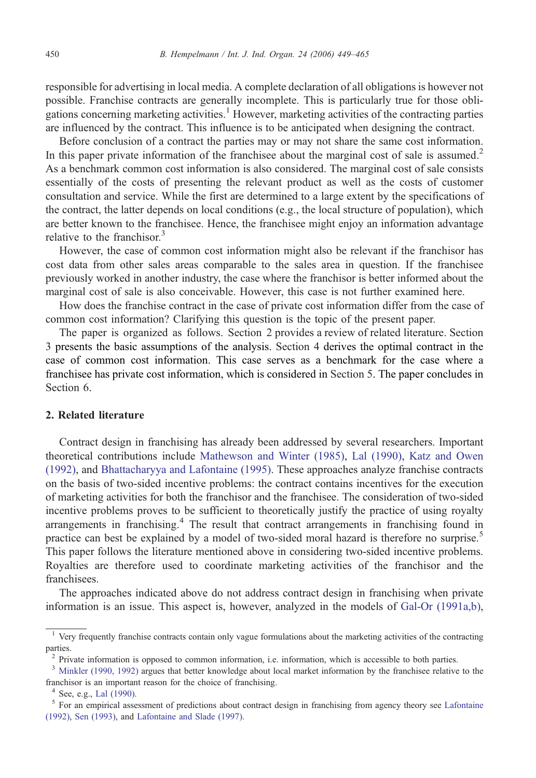responsible for advertising in local media. A complete declaration of all obligations is however not possible. Franchise contracts are generally incomplete. This is particularly true for those obligations concerning marketing activities.<sup>1</sup> However, marketing activities of the contracting parties are influenced by the contract. This influence is to be anticipated when designing the contract.

Before conclusion of a contract the parties may or may not share the same cost information. In this paper private information of the franchisee about the marginal cost of sale is assumed.<sup>2</sup> As a benchmark common cost information is also considered. The marginal cost of sale consists essentially of the costs of presenting the relevant product as well as the costs of customer consultation and service. While the first are determined to a large extent by the specifications of the contract, the latter depends on local conditions (e.g., the local structure of population), which are better known to the franchisee. Hence, the franchisee might enjoy an information advantage relative to the franchisor.<sup>3</sup>

However, the case of common cost information might also be relevant if the franchisor has cost data from other sales areas comparable to the sales area in question. If the franchisee previously worked in another industry, the case where the franchisor is better informed about the marginal cost of sale is also conceivable. However, this case is not further examined here.

How does the franchise contract in the case of private cost information differ from the case of common cost information? Clarifying this question is the topic of the present paper.

The paper is organized as follows. Section 2 provides a review of related literature. Section 3 presents the basic assumptions of the analysis. Section 4 derives the optimal contract in the case of common cost information. This case serves as a benchmark for the case where a franchisee has private cost information, which is considered in Section 5. The paper concludes in Section 6.

#### 2. Related literature

Contract design in franchising has already been addressed by several researchers. Important theoretical contributions include Ma[thewson and Winter \(1985\),](#page--1-0) Lal [\(1990\),](#page--1-0) Kat[z and Owe](#page--1-0)n (1992), and Bh[attacharyya and Lafontaine \(1995\). Th](#page--1-0)ese approaches analyze franchise contracts on the basis of two-sided incentive problems: the contract contains incentives for the execution of marketing activities for both the franchisor and the franchisee. The consideration of two-sided incentive problems proves to be sufficient to theoretically justify the practice of using royalty arrangements in franchising.<sup>4</sup> The result that contract arrangements in franchising found in practice can best be explained by a model of two-sided moral hazard is therefore no surprise.<sup>5</sup> This paper follows the literature mentioned above in considering two-sided incentive problems. Royalties are therefore used to coordinate marketing activities of the franchisor and the franchisees.

The approaches indicated above do not address contract design in franchising when private information is an issue. This aspect is, however, analyzed in the models of Ga[l-Or \(1991a,b\),](#page--1-0)

<sup>&</sup>lt;sup>1</sup> Very frequently franchise contracts contain only vague formulations about the marketing activities of the contracting parties.

<sup>&</sup>lt;sup>2</sup> Private information is opposed to common information, i.e. information, which is accessible to both parties.

<sup>&</sup>lt;sup>3</sup> Minkler (1990, 1992) argues that better knowledge about local market information by the franchisee relative to the franchisor is an important reason for the choice of franchising.

<sup>&</sup>lt;sup>4</sup> See, e.g., Lal [\(1990\).](#page--1-0)<br><sup>5</sup> For an empirical assessment of predictions about contract design in franchising from agency theory see Laf[ontaine](#page--1-0) (1992), Sen [\(1993\), and](#page--1-0) Laf[ontaine and Slade \(1997\).](#page--1-0)